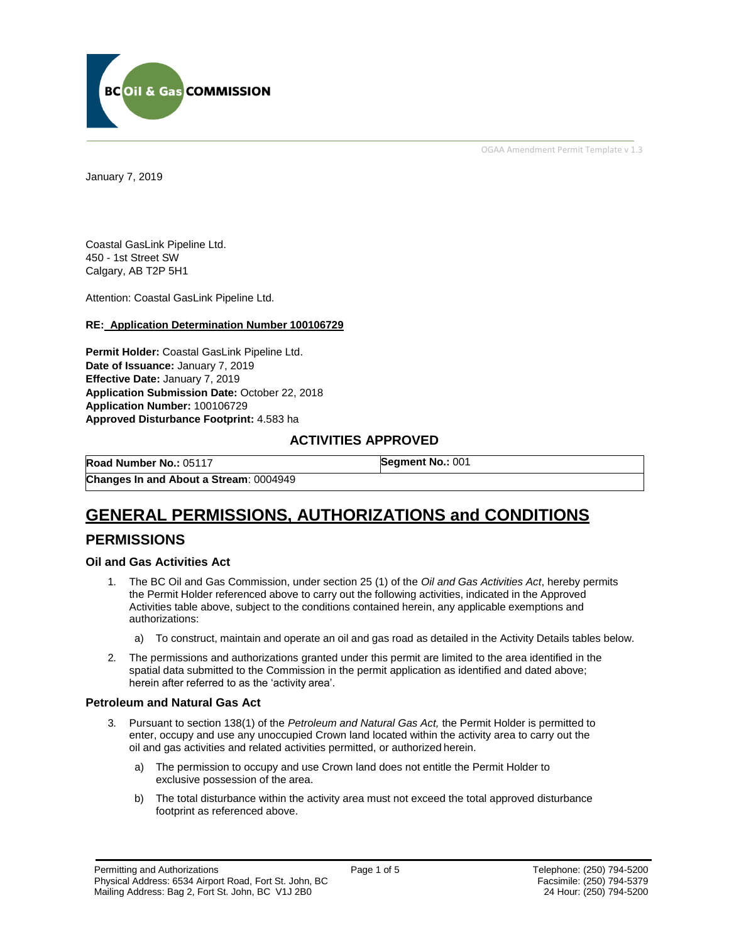

OGAA Amendment Permit Template v 1.3

January 7, 2019

Coastal GasLink Pipeline Ltd. 450 - 1st Street SW Calgary, AB T2P 5H1

Attention: Coastal GasLink Pipeline Ltd.

#### **RE: Application Determination Number 100106729**

**Permit Holder:** Coastal GasLink Pipeline Ltd. **Date of Issuance:** January 7, 2019 **Effective Date:** January 7, 2019 **Application Submission Date:** October 22, 2018 **Application Number:** 100106729 **Approved Disturbance Footprint:** 4.583 ha

### **ACTIVITIES APPROVED**

**Road Number No.:** 05117 **[Segment No.:](https://bi.bcogc.ca/Application%20Processing/Interactive%20Reports/(BIL-041)%20AMS%20Decision%20Summary.aspx)** 001 **Changes In and About a Stream**: 0004949

# **GENERAL PERMISSIONS, AUTHORIZATIONS and CONDITIONS**

## **PERMISSIONS**

#### **Oil and Gas Activities Act**

- <span id="page-0-0"></span>1. The BC Oil and Gas Commission, under section 25 (1) of the *Oil and Gas Activities Act*, hereby permits the Permit Holder referenced above to carry out the following activities, indicated in the Approved Activities table above, subject to the conditions contained herein, any applicable exemptions and authorizations:
	- a) To construct, maintain and operate an oil and gas road as detailed in the Activity Details tables below.
- <span id="page-0-1"></span>2. The permissions and authorizations granted under this permit are limited to the area identified in the spatial data submitted to the Commission in the permit application as identified and dated above; herein after referred to as the 'activity area'.

#### **Petroleum and Natural Gas Act**

- 3. Pursuant to section 138(1) of the *Petroleum and Natural Gas Act,* the Permit Holder is permitted to enter, occupy and use any unoccupied Crown land located within the activity area to carry out the oil and gas activities and related activities permitted, or authorized herein.
	- a) The permission to occupy and use Crown land does not entitle the Permit Holder to exclusive possession of the area.
	- b) The total disturbance within the activity area must not exceed the total approved disturbance footprint as referenced above.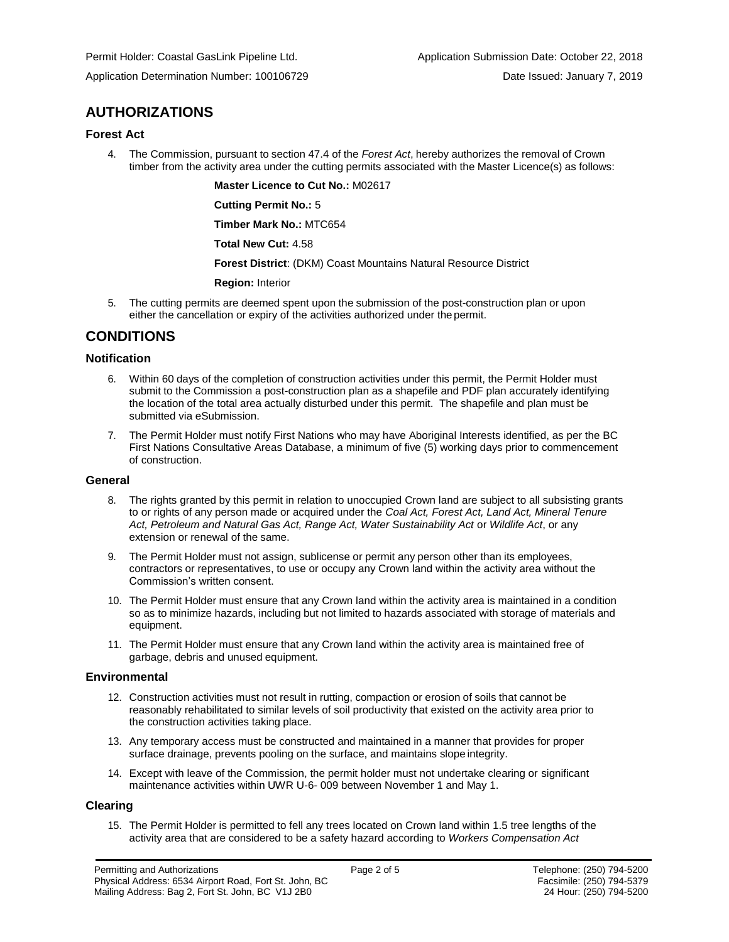## **AUTHORIZATIONS**

#### **Forest Act**

4. The Commission, pursuant to section 47.4 of the *Forest Act*, hereby authorizes the removal of Crown timber from the activity area under the cutting permits associated with the Master Licence(s) as follows:

**[Master Licence to Cut No.:](#page-0-0)** M02617

**Cutting Permit No.:** 5

**Timber Mark No.:** MTC654

**Total New Cut:** 4.58

**[Forest District](https://ams-crd.bcogc.ca/crd/)**: (DKM) Coast Mountains Natural Resource District

**[Region:](#page-0-1)** Interior

5. The cutting permits are deemed spent upon the submission of the post-construction plan or upon either the cancellation or expiry of the activities authorized under the permit.

## **CONDITIONS**

#### **Notification**

- 6. Within 60 days of the completion of construction activities under this permit, the Permit Holder must submit to the Commission a post-construction plan as a shapefile and PDF plan accurately identifying the location of the total area actually disturbed under this permit. The shapefile and plan must be submitted via eSubmission.
- 7. The Permit Holder must notify First Nations who may have Aboriginal Interests identified, as per the BC First Nations Consultative Areas Database, a minimum of five (5) working days prior to commencement of construction.

#### **General**

- 8. The rights granted by this permit in relation to unoccupied Crown land are subject to all subsisting grants to or rights of any person made or acquired under the *Coal Act, Forest Act, Land Act, Mineral Tenure*  Act, Petroleum and Natural Gas Act, Range Act, Water Sustainability Act or Wildlife Act, or any extension or renewal of the same.
- 9. The Permit Holder must not assign, sublicense or permit any person other than its employees, contractors or representatives, to use or occupy any Crown land within the activity area without the Commission's written consent.
- 10. The Permit Holder must ensure that any Crown land within the activity area is maintained in a condition so as to minimize hazards, including but not limited to hazards associated with storage of materials and equipment.
- 11. The Permit Holder must ensure that any Crown land within the activity area is maintained free of garbage, debris and unused equipment.

#### **Environmental**

- 12. Construction activities must not result in rutting, compaction or erosion of soils that cannot be reasonably rehabilitated to similar levels of soil productivity that existed on the activity area prior to the construction activities taking place.
- 13. Any temporary access must be constructed and maintained in a manner that provides for proper surface drainage, prevents pooling on the surface, and maintains slope integrity.
- 14. Except with leave of the Commission, the permit holder must not undertake clearing or significant maintenance activities within UWR U-6- 009 between November 1 and May 1.

#### **Clearing**

15. The Permit Holder is permitted to fell any trees located on Crown land within 1.5 tree lengths of the activity area that are considered to be a safety hazard according to *Workers Compensation Act*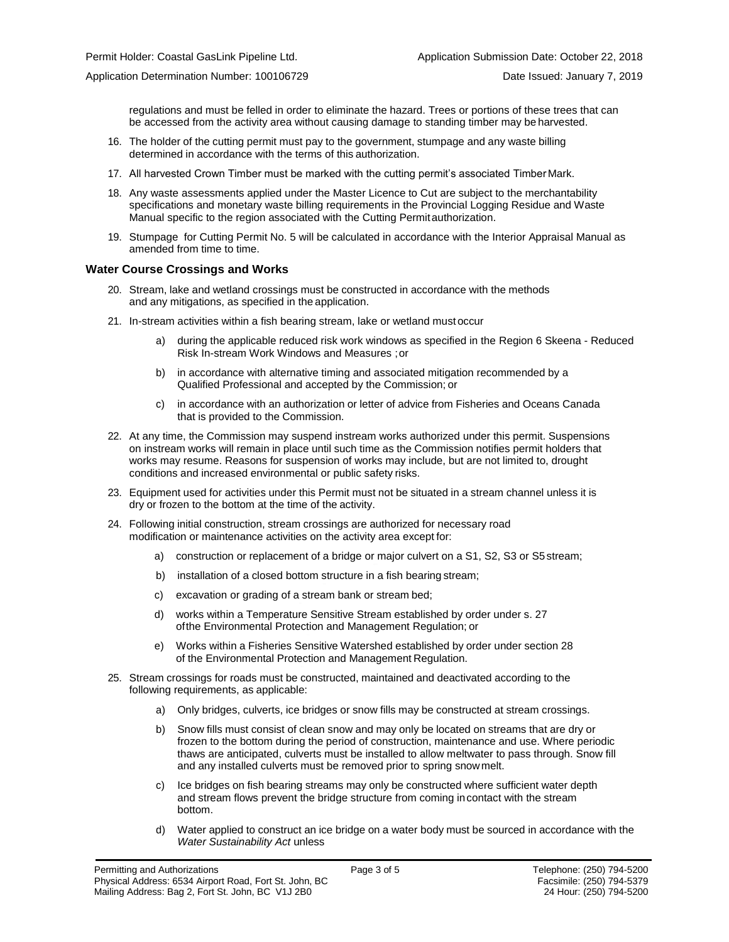Application Determination Number: 100106729 Date Issued: January 7, 2019

regulations and must be felled in order to eliminate the hazard. Trees or portions of these trees that can be accessed from the activity area without causing damage to standing timber may be harvested.

- 16. The holder of the cutting permit must pay to the government, stumpage and any waste billing determined in accordance with the terms of this authorization.
- 17. All harvested Crown Timber must be marked with the cutting permit's associated Timber Mark.
- 18. Any waste assessments applied under the Master Licence to Cut are subject to the merchantability specifications and monetary waste billing requirements in the Provincial Logging Residue and Waste Manual specific to the region associated with the Cutting Permitauthorization.
- 19. Stumpage for Cutting Permit No. 5 will be calculated in accordance with the Interior Appraisal Manual as amended from time to time.

#### **Water Course Crossings and Works**

- 20. Stream, lake and wetland crossings must be constructed in accordance with the methods and any mitigations, as specified in the application.
- 21. In-stream activities within a fish bearing stream, lake or wetland must occur
	- a) [during the applicable reduced risk work windows as specified in the](#page-0-0) Region 6 Skeena Reduced Risk In-stream Work Windows and Measures ;or
	- b) in accordance with alternative timing and associated mitigation recommended by a Qualified Professional and accepted by the Commission; or
	- c) in accordance with an authorization or letter of advice from Fisheries and Oceans Canada that is provided to the Commission.
- 22. At any time, the Commission may suspend instream works authorized under this permit. Suspensions on instream works will remain in place until such time as the Commission notifies permit holders that works may resume. Reasons for suspension of works may include, but are not limited to, drought conditions and increased environmental or public safety risks.
- 23. Equipment used for activities under this Permit must not be situated in a stream channel unless it is dry or frozen to the bottom at the time of the activity.
- 24. Following initial construction, stream crossings are authorized for necessary road modification or maintenance activities on the activity area except for:
	- a) construction or replacement of a bridge or major culvert on a S1, S2, S3 or S5stream;
	- b) installation of a closed bottom structure in a fish bearing stream;
	- c) excavation or grading of a stream bank or stream bed;
	- d) works within a Temperature Sensitive Stream established by order under s. 27 ofthe Environmental Protection and Management Regulation; or
	- e) Works within a Fisheries Sensitive Watershed established by order under section 28 of the Environmental Protection and Management Regulation.
- 25. Stream crossings for roads must be constructed, maintained and deactivated according to the following requirements, as applicable:
	- a) Only bridges, culverts, ice bridges or snow fills may be constructed at stream crossings.
	- b) Snow fills must consist of clean snow and may only be located on streams that are dry or frozen to the bottom during the period of construction, maintenance and use. Where periodic thaws are anticipated, culverts must be installed to allow meltwater to pass through. Snow fill and any installed culverts must be removed prior to spring snowmelt.
	- c) Ice bridges on fish bearing streams may only be constructed where sufficient water depth and stream flows prevent the bridge structure from coming incontact with the stream bottom.
	- d) Water applied to construct an ice bridge on a water body must be sourced in accordance with the *Water Sustainability Act* unless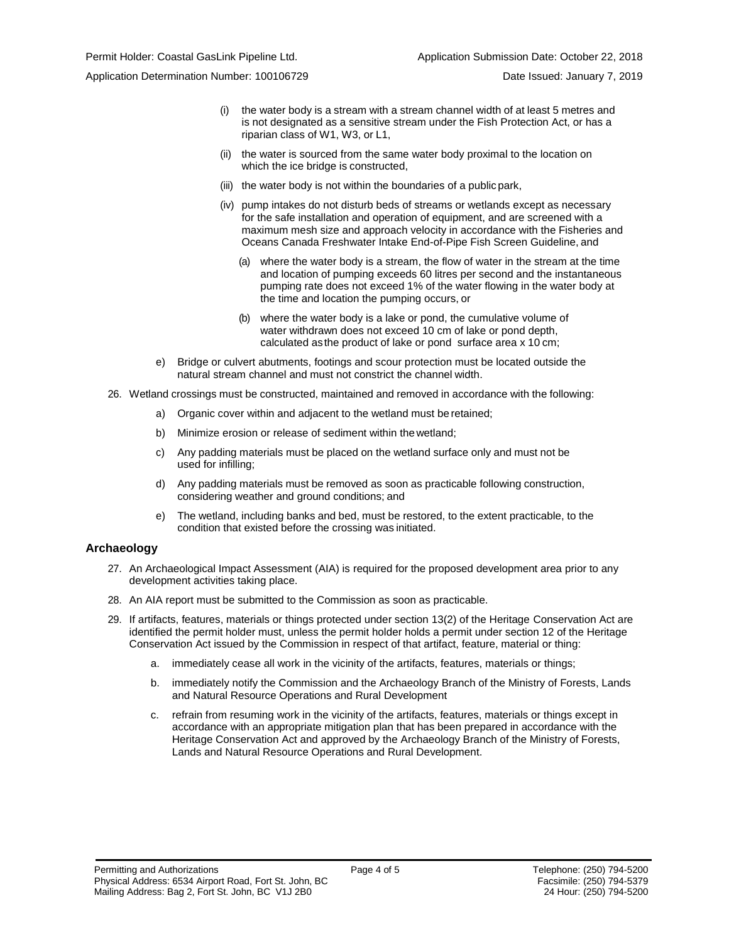Application Determination Number: 100106729 Date Issued: January 7, 2019

- (i) the water body is a stream with a stream channel width of at least 5 metres and is not designated as a sensitive stream under the Fish Protection Act, or has a riparian class of W1, W3, or L1,
- (ii) the water is sourced from the same water body proximal to the location on which the ice bridge is constructed,
- (iii) the water body is not within the boundaries of a public park,
- (iv) pump intakes do not disturb beds of streams or wetlands except as necessary for the safe installation and operation of equipment, and are screened with a maximum mesh size and approach velocity in accordance with the Fisheries and Oceans Canada Freshwater Intake End-of-Pipe Fish Screen Guideline, and
	- (a) where the water body is a stream, the flow of water in the stream at the time and location of pumping exceeds 60 litres per second and the instantaneous pumping rate does not exceed 1% of the water flowing in the water body at the time and location the pumping occurs, or
	- (b) where the water body is a lake or pond, the cumulative volume of water withdrawn does not exceed 10 cm of lake or pond depth, calculated asthe product of lake or pond surface area x 10 cm;
- e) Bridge or culvert abutments, footings and scour protection must be located outside the natural stream channel and must not constrict the channel width.
- 26. Wetland crossings must be constructed, maintained and removed in accordance with the following:
	- a) Organic cover within and adjacent to the wetland must be retained;
	- b) Minimize erosion or release of sediment within the wetland;
	- c) Any padding materials must be placed on the wetland surface only and must not be used for infilling;
	- d) Any padding materials must be removed as soon as practicable following construction, considering weather and ground conditions; and
	- e) The wetland, including banks and bed, must be restored, to the extent practicable, to the condition that existed before the crossing was initiated.

#### **Archaeology**

- 27. An Archaeological Impact Assessment (AIA) is required for the proposed development area prior to any development activities taking place.
- 28. An AIA report must be submitted to the Commission as soon as practicable.
- 29. If artifacts, features, materials or things protected under section 13(2) of the Heritage Conservation Act are identified the permit holder must, unless the permit holder holds a permit under section 12 of the Heritage Conservation Act issued by the Commission in respect of that artifact, feature, material or thing:
	- a. immediately cease all work in the vicinity of the artifacts, features, materials or things;
	- b. immediately notify the Commission and the Archaeology Branch of the Ministry of Forests, Lands and Natural Resource Operations and Rural Development
	- c. refrain from resuming work in the vicinity of the artifacts, features, materials or things except in accordance with an appropriate mitigation plan that has been prepared in accordance with the Heritage Conservation Act and approved by the Archaeology Branch of the Ministry of Forests, Lands and Natural Resource Operations and Rural Development.